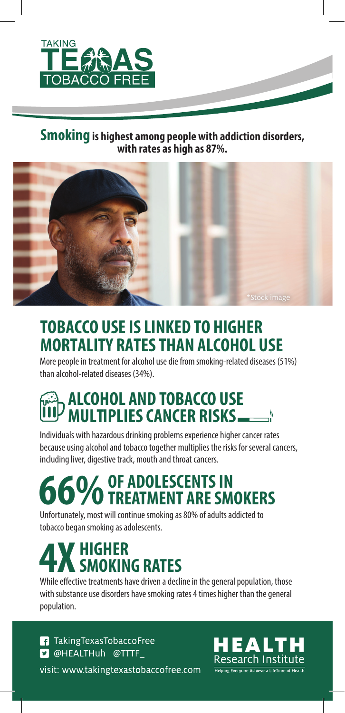

#### **Smoking is highest among people with addiction disorders, with rates as high as 87%.**



## **TOBACCO USE IS LINKED TO HIGHER MORTALITY RATES THAN ALCOHOL USE**

More people in treatment for alcohol use die from smoking-related diseases (51%) than alcohol-related diseases (34%).

## **ALCOHOL AND TOBACCO USE MULTIPLIES CANCER RISKS**

Individuals with hazardous drinking problems experience higher cancer rates because using alcohol and tobacco together multiplies the risks for several cancers, including liver, digestive track, mouth and throat cancers.

# **6%** OF ADOLESCENTS IN<br>**6% TREATMENT ARE SMOKERS**

Unfortunately, most will continue smoking as 80% of adults addicted to tobacco began smoking as adolescents.

# **/ HIGHER<br>4 SMOKING RATES**

While effective treatments have driven a decline in the general population, those with substance use disorders have smoking rates 4 times higher than the general population.

**1** Taking Texas Tobacco Free **D** @HEALTHuh @TTTF visit: www.takingtexastobaccofree.com